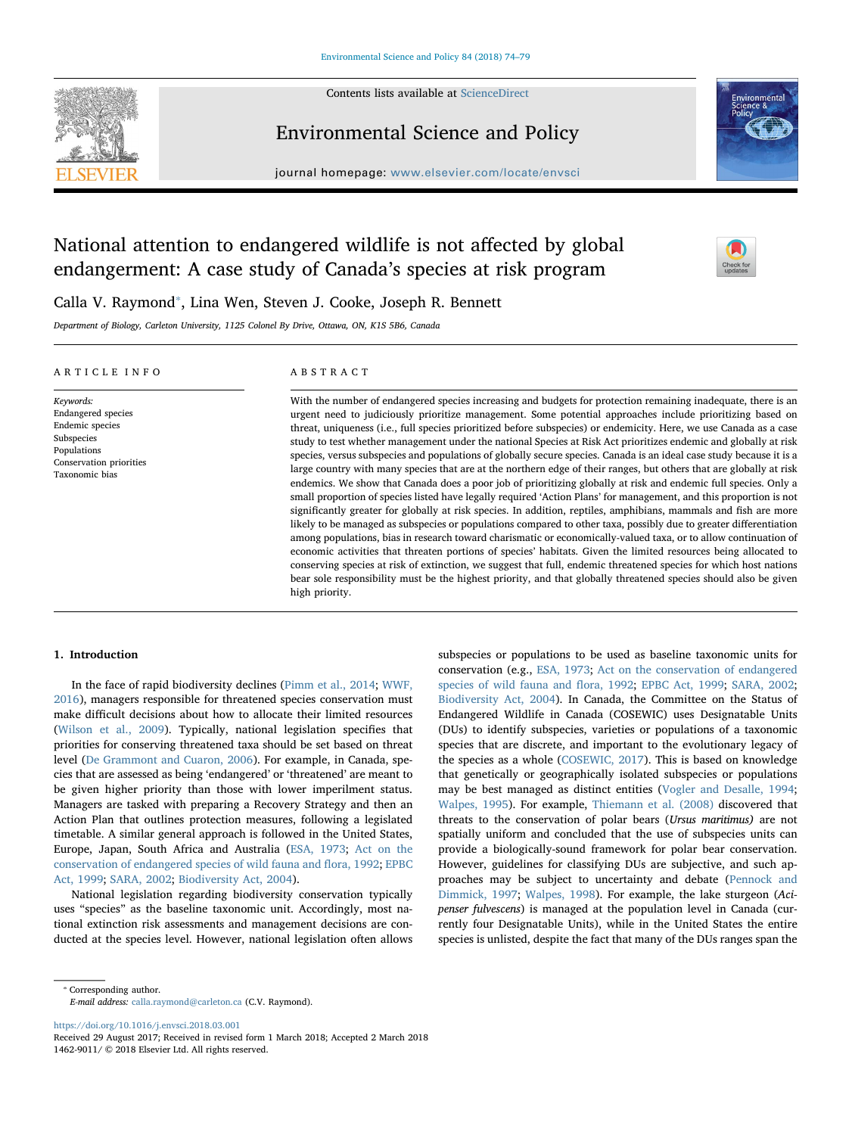

Contents lists available at [ScienceDirect](http://www.sciencedirect.com/science/journal/14629011)

## Environmental Science and Policy



journal homepage: [www.elsevier.com/locate/envsci](https://www.elsevier.com/locate/envsci)

# National attention to endangered wildlife is not affected by global endangerment: A case study of Canada's species at risk program



Calla V. Raymond<sup>\*</sup>, Lina Wen, Steven J. Cooke, Joseph R. Bennett

Department of Biology, Carleton University, 1125 Colonel By Drive, Ottawa, ON, K1S 5B6, Canada

#### ARTICLE INFO Keywords: Endangered species Endemic species Subspecies Populations Conservation priorities Taxonomic bias ABSTRACT With the number of endangered species increasing and budgets for protection remaining inadequate, there is an urgent need to judiciously prioritize management. Some potential approaches include prioritizing based on threat, uniqueness (i.e., full species prioritized before subspecies) or endemicity. Here, we use Canada as a case study to test whether management under the national Species at Risk Act prioritizes endemic and globally at risk species, versus subspecies and populations of globally secure species. Canada is an ideal case study because it is a large country with many species that are at the northern edge of their ranges, but others that are globally at risk endemics. We show that Canada does a poor job of prioritizing globally at risk and endemic full species. Only a small proportion of species listed have legally required 'Action Plans' for management, and this proportion is not significantly greater for globally at risk species. In addition, reptiles, amphibians, mammals and fish are more likely to be managed as subspecies or populations compared to other taxa, possibly due to greater differentiation

among populations, bias in research toward charismatic or economically-valued taxa, or to allow continuation of economic activities that threaten portions of species' habitats. Given the limited resources being allocated to conserving species at risk of extinction, we suggest that full, endemic threatened species for which host nations bear sole responsibility must be the highest priority, and that globally threatened species should also be given high priority.

## 1. Introduction

In the face of rapid biodiversity declines [\(Pimm et al., 2014;](#page-5-0) [WWF,](#page-5-1) [2016\)](#page-5-1), managers responsible for threatened species conservation must make difficult decisions about how to allocate their limited resources ([Wilson et al., 2009\)](#page-5-2). Typically, national legislation specifies that priorities for conserving threatened taxa should be set based on threat level [\(De Grammont and Cuaron, 2006\)](#page-4-0). For example, in Canada, species that are assessed as being 'endangered' or 'threatened' are meant to be given higher priority than those with lower imperilment status. Managers are tasked with preparing a Recovery Strategy and then an Action Plan that outlines protection measures, following a legislated timetable. A similar general approach is followed in the United States, Europe, Japan, South Africa and Australia [\(ESA, 1973;](#page-4-1) [Act on the](#page-4-2) [conservation of endangered species of wild fauna and](#page-4-2) flora, 1992; [EPBC](#page-4-3) [Act, 1999](#page-4-3); [SARA, 2002](#page-5-3); [Biodiversity Act, 2004](#page-5-4)).

National legislation regarding biodiversity conservation typically uses "species" as the baseline taxonomic unit. Accordingly, most national extinction risk assessments and management decisions are conducted at the species level. However, national legislation often allows subspecies or populations to be used as baseline taxonomic units for conservation (e.g., [ESA, 1973;](#page-4-1) [Act on the conservation of endangered](#page-4-2) [species of wild fauna and](#page-4-2) flora, 1992; [EPBC Act, 1999](#page-4-3); [SARA, 2002](#page-5-3); [Biodiversity Act, 2004](#page-5-4)). In Canada, the Committee on the Status of Endangered Wildlife in Canada (COSEWIC) uses Designatable Units (DUs) to identify subspecies, varieties or populations of a taxonomic species that are discrete, and important to the evolutionary legacy of the species as a whole ([COSEWIC, 2017](#page-4-4)). This is based on knowledge that genetically or geographically isolated subspecies or populations may be best managed as distinct entities [\(Vogler and Desalle, 1994](#page-5-5); [Walpes, 1995\)](#page-5-6). For example, [Thiemann et al. \(2008\)](#page-5-7) discovered that threats to the conservation of polar bears (Ursus maritimus) are not spatially uniform and concluded that the use of subspecies units can provide a biologically-sound framework for polar bear conservation. However, guidelines for classifying DUs are subjective, and such approaches may be subject to uncertainty and debate [\(Pennock and](#page-5-8) [Dimmick, 1997;](#page-5-8) [Walpes, 1998](#page-5-9)). For example, the lake sturgeon (Acipenser fulvescens) is managed at the population level in Canada (currently four Designatable Units), while in the United States the entire species is unlisted, despite the fact that many of the DUs ranges span the

<span id="page-0-0"></span>⁎ Corresponding author. E-mail address: [calla.raymond@carleton.ca](mailto:calla.raymond@carleton.ca) (C.V. Raymond).

<https://doi.org/10.1016/j.envsci.2018.03.001>

Received 29 August 2017; Received in revised form 1 March 2018; Accepted 2 March 2018 1462-9011/ © 2018 Elsevier Ltd. All rights reserved.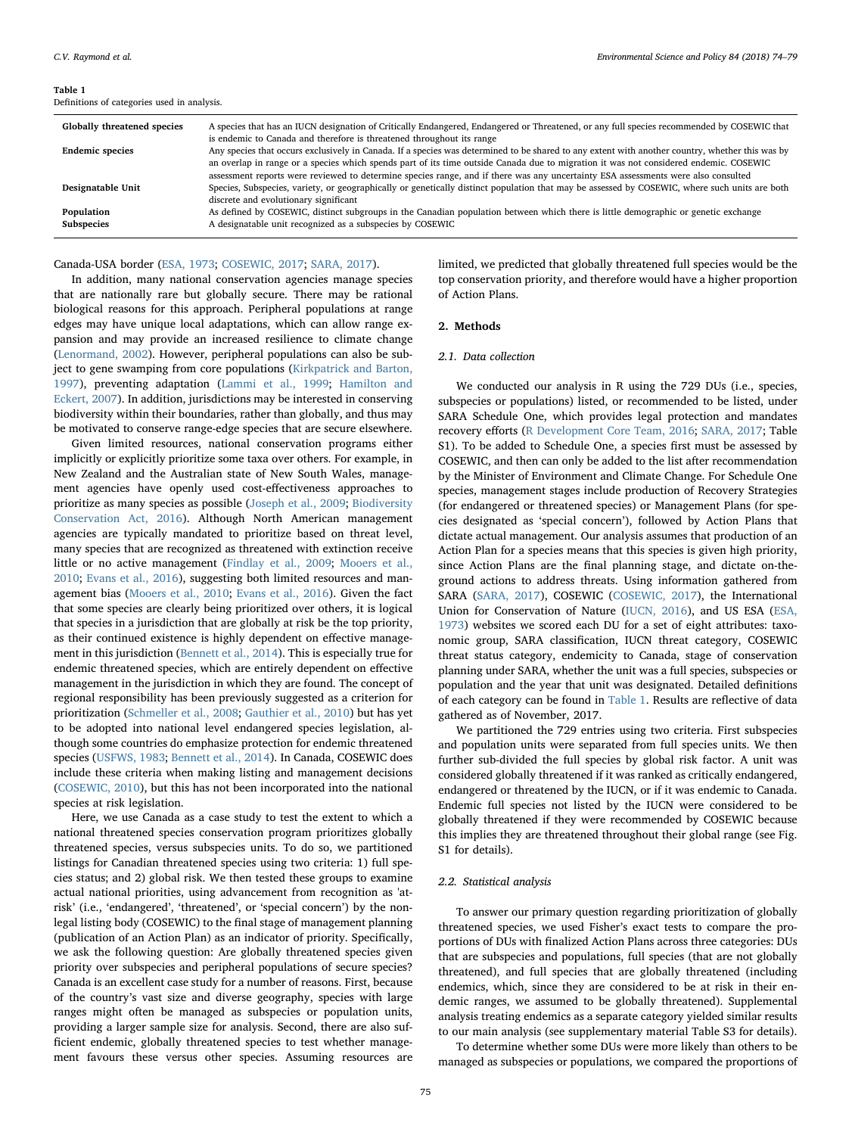#### <span id="page-1-0"></span>Table 1

Definitions of categories used in analysis.

| Globally threatened species | A species that has an IUCN designation of Critically Endangered, Endangered or Threatened, or any full species recommended by COSEWIC that<br>is endemic to Canada and therefore is threatened throughout its range                                                                                                                                                                                                           |
|-----------------------------|-------------------------------------------------------------------------------------------------------------------------------------------------------------------------------------------------------------------------------------------------------------------------------------------------------------------------------------------------------------------------------------------------------------------------------|
| <b>Endemic species</b>      | Any species that occurs exclusively in Canada. If a species was determined to be shared to any extent with another country, whether this was by<br>an overlap in range or a species which spends part of its time outside Canada due to migration it was not considered endemic. COSEWIC<br>assessment reports were reviewed to determine species range, and if there was any uncertainty ESA assessments were also consulted |
| Designatable Unit           | Species, Subspecies, variety, or geographically or genetically distinct population that may be assessed by COSEWIC, where such units are both<br>discrete and evolutionary significant                                                                                                                                                                                                                                        |
| Population<br>Subspecies    | As defined by COSEWIC, distinct subgroups in the Canadian population between which there is little demographic or genetic exchange<br>A designatable unit recognized as a subspecies by COSEWIC                                                                                                                                                                                                                               |

Canada-USA border [\(ESA, 1973](#page-4-1); [COSEWIC, 2017;](#page-4-4) [SARA, 2017](#page-5-10)).

In addition, many national conservation agencies manage species that are nationally rare but globally secure. There may be rational biological reasons for this approach. Peripheral populations at range edges may have unique local adaptations, which can allow range expansion and may provide an increased resilience to climate change ([Lenormand, 2002](#page-5-11)). However, peripheral populations can also be subject to gene swamping from core populations ([Kirkpatrick and Barton,](#page-4-5) [1997\)](#page-4-5), preventing adaptation ([Lammi et al., 1999](#page-4-6); [Hamilton and](#page-4-7) [Eckert, 2007](#page-4-7)). In addition, jurisdictions may be interested in conserving biodiversity within their boundaries, rather than globally, and thus may be motivated to conserve range-edge species that are secure elsewhere.

Given limited resources, national conservation programs either implicitly or explicitly prioritize some taxa over others. For example, in New Zealand and the Australian state of New South Wales, management agencies have openly used cost-effectiveness approaches to prioritize as many species as possible ([Joseph et al., 2009;](#page-4-8) [Biodiversity](#page-4-9) [Conservation Act, 2016\)](#page-4-9). Although North American management agencies are typically mandated to prioritize based on threat level, many species that are recognized as threatened with extinction receive little or no active management ([Findlay et al., 2009;](#page-4-10) [Mooers et al.,](#page-5-12) [2010;](#page-5-12) [Evans et al., 2016\)](#page-4-11), suggesting both limited resources and management bias [\(Mooers et al., 2010](#page-5-12); [Evans et al., 2016](#page-4-11)). Given the fact that some species are clearly being prioritized over others, it is logical that species in a jurisdiction that are globally at risk be the top priority, as their continued existence is highly dependent on effective management in this jurisdiction [\(Bennett et al., 2014](#page-4-12)). This is especially true for endemic threatened species, which are entirely dependent on effective management in the jurisdiction in which they are found. The concept of regional responsibility has been previously suggested as a criterion for prioritization ([Schmeller et al., 2008;](#page-5-13) [Gauthier et al., 2010\)](#page-4-13) but has yet to be adopted into national level endangered species legislation, although some countries do emphasize protection for endemic threatened species [\(USFWS, 1983](#page-5-14); [Bennett et al., 2014\)](#page-4-12). In Canada, COSEWIC does include these criteria when making listing and management decisions ([COSEWIC, 2010\)](#page-4-14), but this has not been incorporated into the national species at risk legislation.

Here, we use Canada as a case study to test the extent to which a national threatened species conservation program prioritizes globally threatened species, versus subspecies units. To do so, we partitioned listings for Canadian threatened species using two criteria: 1) full species status; and 2) global risk. We then tested these groups to examine actual national priorities, using advancement from recognition as 'atrisk' (i.e., 'endangered', 'threatened', or 'special concern') by the nonlegal listing body (COSEWIC) to the final stage of management planning (publication of an Action Plan) as an indicator of priority. Specifically, we ask the following question: Are globally threatened species given priority over subspecies and peripheral populations of secure species? Canada is an excellent case study for a number of reasons. First, because of the country's vast size and diverse geography, species with large ranges might often be managed as subspecies or population units, providing a larger sample size for analysis. Second, there are also sufficient endemic, globally threatened species to test whether management favours these versus other species. Assuming resources are

limited, we predicted that globally threatened full species would be the top conservation priority, and therefore would have a higher proportion of Action Plans.

#### 2. Methods

## 2.1. Data collection

We conducted our analysis in R using the 729 DUs (i.e., species, subspecies or populations) listed, or recommended to be listed, under SARA Schedule One, which provides legal protection and mandates recovery efforts ([R Development Core Team, 2016;](#page-5-15) [SARA, 2017](#page-5-10); Table S1). To be added to Schedule One, a species first must be assessed by COSEWIC, and then can only be added to the list after recommendation by the Minister of Environment and Climate Change. For Schedule One species, management stages include production of Recovery Strategies (for endangered or threatened species) or Management Plans (for species designated as 'special concern'), followed by Action Plans that dictate actual management. Our analysis assumes that production of an Action Plan for a species means that this species is given high priority, since Action Plans are the final planning stage, and dictate on-theground actions to address threats. Using information gathered from SARA ([SARA, 2017\)](#page-5-10), COSEWIC ([COSEWIC, 2017](#page-4-4)), the International Union for Conservation of Nature ([IUCN, 2016\)](#page-4-15), and US ESA [\(ESA,](#page-4-1) [1973\)](#page-4-1) websites we scored each DU for a set of eight attributes: taxonomic group, SARA classification, IUCN threat category, COSEWIC threat status category, endemicity to Canada, stage of conservation planning under SARA, whether the unit was a full species, subspecies or population and the year that unit was designated. Detailed definitions of each category can be found in [Table 1.](#page-1-0) Results are reflective of data gathered as of November, 2017.

We partitioned the 729 entries using two criteria. First subspecies and population units were separated from full species units. We then further sub-divided the full species by global risk factor. A unit was considered globally threatened if it was ranked as critically endangered, endangered or threatened by the IUCN, or if it was endemic to Canada. Endemic full species not listed by the IUCN were considered to be globally threatened if they were recommended by COSEWIC because this implies they are threatened throughout their global range (see Fig. S1 for details).

#### 2.2. Statistical analysis

To answer our primary question regarding prioritization of globally threatened species, we used Fisher's exact tests to compare the proportions of DUs with finalized Action Plans across three categories: DUs that are subspecies and populations, full species (that are not globally threatened), and full species that are globally threatened (including endemics, which, since they are considered to be at risk in their endemic ranges, we assumed to be globally threatened). Supplemental analysis treating endemics as a separate category yielded similar results to our main analysis (see supplementary material Table S3 for details).

To determine whether some DUs were more likely than others to be managed as subspecies or populations, we compared the proportions of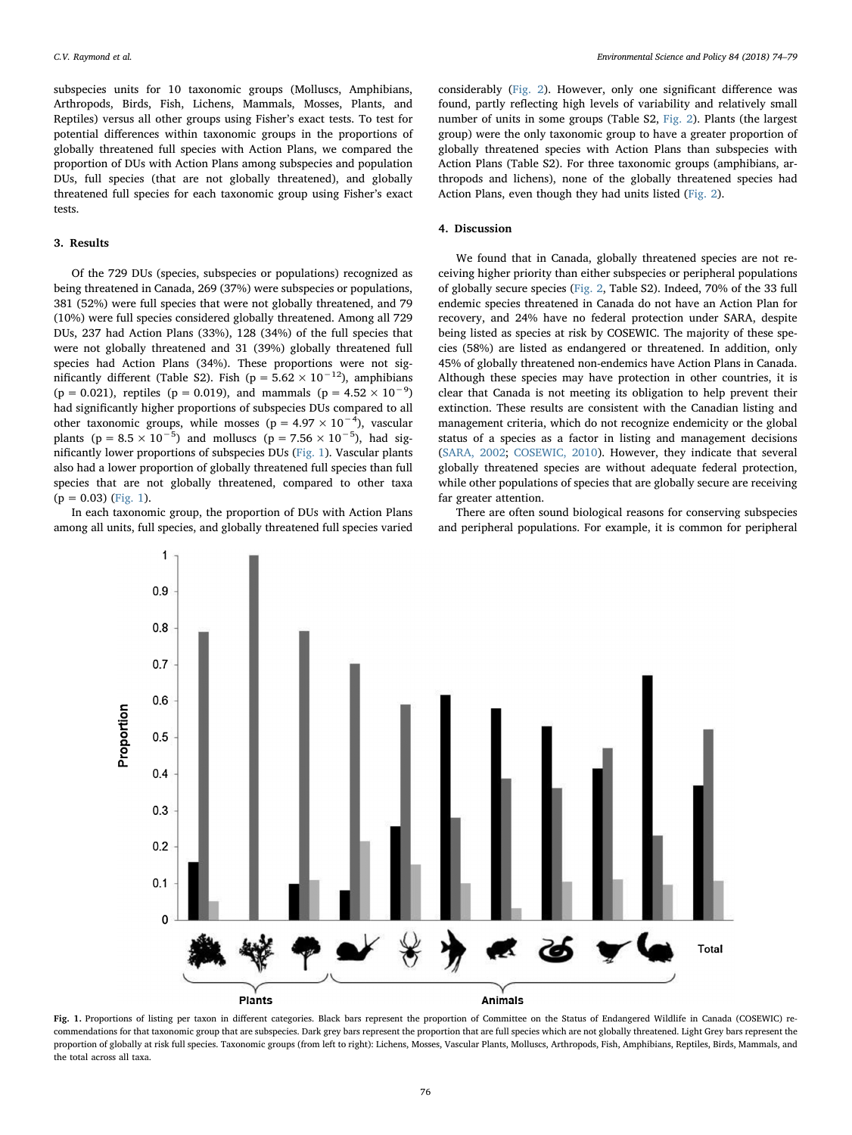subspecies units for 10 taxonomic groups (Molluscs, Amphibians, Arthropods, Birds, Fish, Lichens, Mammals, Mosses, Plants, and Reptiles) versus all other groups using Fisher's exact tests. To test for potential differences within taxonomic groups in the proportions of globally threatened full species with Action Plans, we compared the proportion of DUs with Action Plans among subspecies and population DUs, full species (that are not globally threatened), and globally threatened full species for each taxonomic group using Fisher's exact tests.

#### 3. Results

Of the 729 DUs (species, subspecies or populations) recognized as being threatened in Canada, 269 (37%) were subspecies or populations, 381 (52%) were full species that were not globally threatened, and 79 (10%) were full species considered globally threatened. Among all 729 DUs, 237 had Action Plans (33%), 128 (34%) of the full species that were not globally threatened and 31 (39%) globally threatened full species had Action Plans (34%). These proportions were not significantly different (Table S2). Fish (p =  $5.62 \times 10^{-12}$ ), amphibians (p = 0.021), reptiles (p = 0.019), and mammals (p =  $4.52 \times 10^{-9}$ ) had significantly higher proportions of subspecies DUs compared to all other taxonomic groups, while mosses ( $p = 4.97 \times 10^{-4}$ ), vascular plants ( $p = 8.5 \times 10^{-5}$ ) and molluscs ( $p = 7.56 \times 10^{-5}$ ), had significantly lower proportions of subspecies DUs [\(Fig. 1](#page-2-0)). Vascular plants also had a lower proportion of globally threatened full species than full species that are not globally threatened, compared to other taxa  $(p = 0.03)$  ([Fig. 1\)](#page-2-0).

<span id="page-2-0"></span>In each taxonomic group, the proportion of DUs with Action Plans among all units, full species, and globally threatened full species varied

considerably [\(Fig. 2](#page-3-0)). However, only one significant difference was found, partly reflecting high levels of variability and relatively small number of units in some groups (Table S2, [Fig. 2](#page-3-0)). Plants (the largest group) were the only taxonomic group to have a greater proportion of globally threatened species with Action Plans than subspecies with Action Plans (Table S2). For three taxonomic groups (amphibians, arthropods and lichens), none of the globally threatened species had Action Plans, even though they had units listed [\(Fig. 2\)](#page-3-0).

#### 4. Discussion

We found that in Canada, globally threatened species are not receiving higher priority than either subspecies or peripheral populations of globally secure species ([Fig. 2,](#page-3-0) Table S2). Indeed, 70% of the 33 full endemic species threatened in Canada do not have an Action Plan for recovery, and 24% have no federal protection under SARA, despite being listed as species at risk by COSEWIC. The majority of these species (58%) are listed as endangered or threatened. In addition, only 45% of globally threatened non-endemics have Action Plans in Canada. Although these species may have protection in other countries, it is clear that Canada is not meeting its obligation to help prevent their extinction. These results are consistent with the Canadian listing and management criteria, which do not recognize endemicity or the global status of a species as a factor in listing and management decisions ([SARA, 2002](#page-5-3); [COSEWIC, 2010\)](#page-4-14). However, they indicate that several globally threatened species are without adequate federal protection, while other populations of species that are globally secure are receiving far greater attention.

There are often sound biological reasons for conserving subspecies and peripheral populations. For example, it is common for peripheral



Fig. 1. Proportions of listing per taxon in different categories. Black bars represent the proportion of Committee on the Status of Endangered Wildlife in Canada (COSEWIC) recommendations for that taxonomic group that are subspecies. Dark grey bars represent the proportion that are full species which are not globally threatened. Light Grey bars represent the proportion of globally at risk full species. Taxonomic groups (from left to right): Lichens, Mosses, Vascular Plants, Molluscs, Arthropods, Fish, Amphibians, Reptiles, Birds, Mammals, and the total across all taxa.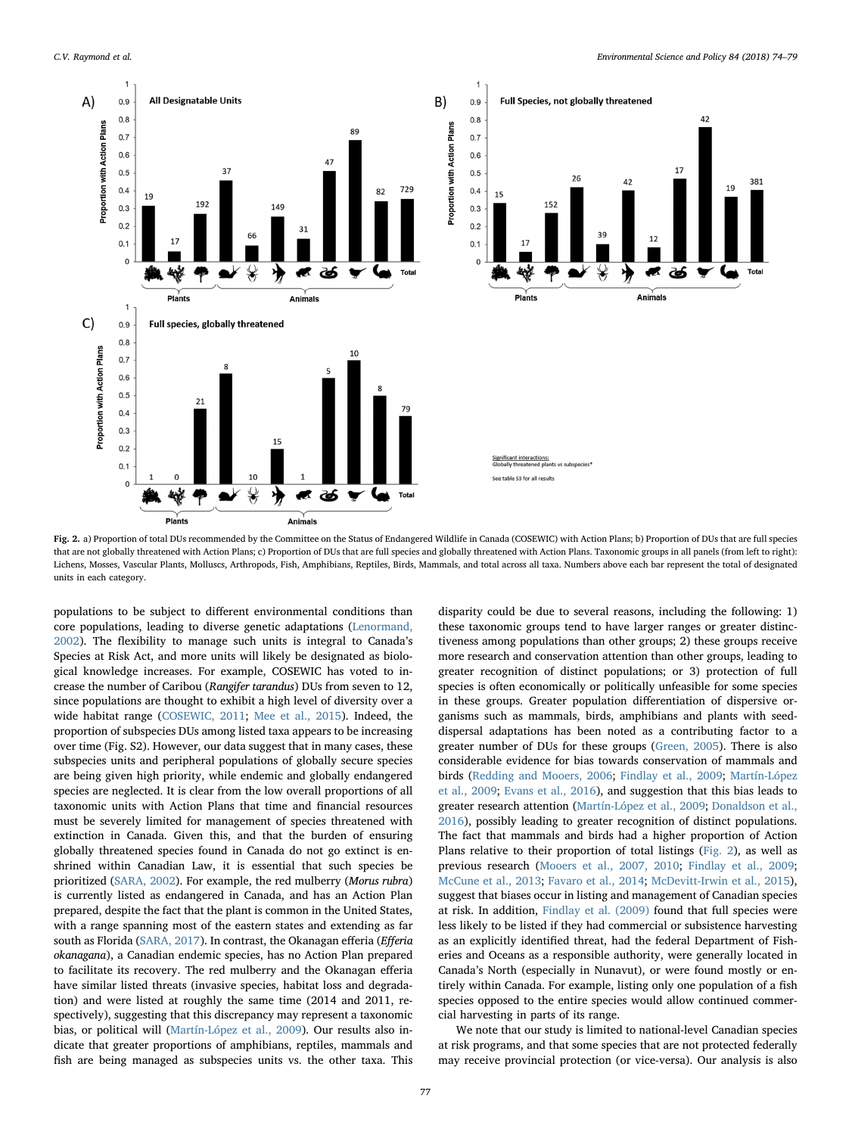<span id="page-3-0"></span>

Fig. 2. a) Proportion of total DUs recommended by the Committee on the Status of Endangered Wildlife in Canada (COSEWIC) with Action Plans; b) Proportion of DUs that are full species that are not globally threatened with Action Plans; c) Proportion of DUs that are full species and globally threatened with Action Plans. Taxonomic groups in all panels (from left to right): Lichens, Mosses, Vascular Plants, Molluscs, Arthropods, Fish, Amphibians, Reptiles, Birds, Mammals, and total across all taxa. Numbers above each bar represent the total of designated units in each category.

populations to be subject to different environmental conditions than core populations, leading to diverse genetic adaptations ([Lenormand,](#page-5-11) [2002\)](#page-5-11). The flexibility to manage such units is integral to Canada's Species at Risk Act, and more units will likely be designated as biological knowledge increases. For example, COSEWIC has voted to increase the number of Caribou (Rangifer tarandus) DUs from seven to 12, since populations are thought to exhibit a high level of diversity over a wide habitat range [\(COSEWIC, 2011;](#page-4-16) [Mee et al., 2015\)](#page-5-16). Indeed, the proportion of subspecies DUs among listed taxa appears to be increasing over time (Fig. S2). However, our data suggest that in many cases, these subspecies units and peripheral populations of globally secure species are being given high priority, while endemic and globally endangered species are neglected. It is clear from the low overall proportions of all taxonomic units with Action Plans that time and financial resources must be severely limited for management of species threatened with extinction in Canada. Given this, and that the burden of ensuring globally threatened species found in Canada do not go extinct is enshrined within Canadian Law, it is essential that such species be prioritized [\(SARA, 2002\)](#page-5-3). For example, the red mulberry (Morus rubra) is currently listed as endangered in Canada, and has an Action Plan prepared, despite the fact that the plant is common in the United States, with a range spanning most of the eastern states and extending as far south as Florida ([SARA, 2017\)](#page-5-10). In contrast, the Okanagan efferia (Efferia okanagana), a Canadian endemic species, has no Action Plan prepared to facilitate its recovery. The red mulberry and the Okanagan efferia have similar listed threats (invasive species, habitat loss and degradation) and were listed at roughly the same time (2014 and 2011, respectively), suggesting that this discrepancy may represent a taxonomic bias, or political will [\(Martín-López et al., 2009](#page-5-17)). Our results also indicate that greater proportions of amphibians, reptiles, mammals and fish are being managed as subspecies units vs. the other taxa. This

disparity could be due to several reasons, including the following: 1) these taxonomic groups tend to have larger ranges or greater distinctiveness among populations than other groups; 2) these groups receive more research and conservation attention than other groups, leading to greater recognition of distinct populations; or 3) protection of full species is often economically or politically unfeasible for some species in these groups. Greater population differentiation of dispersive organisms such as mammals, birds, amphibians and plants with seeddispersal adaptations has been noted as a contributing factor to a greater number of DUs for these groups [\(Green, 2005\)](#page-4-17). There is also considerable evidence for bias towards conservation of mammals and birds [\(Redding and Mooers, 2006](#page-5-18); [Findlay et al., 2009](#page-4-10); [Martín-López](#page-5-17) [et al., 2009;](#page-5-17) [Evans et al., 2016\)](#page-4-11), and suggestion that this bias leads to greater research attention [\(Martín-López et al., 2009](#page-5-17); [Donaldson et al.,](#page-4-18) [2016\)](#page-4-18), possibly leading to greater recognition of distinct populations. The fact that mammals and birds had a higher proportion of Action Plans relative to their proportion of total listings ([Fig. 2\)](#page-3-0), as well as previous research [\(Mooers et al., 2007, 2010](#page-5-19); Findlay [et al., 2009](#page-4-10); [McCune et al., 2013](#page-5-20); [Favaro et al., 2014;](#page-4-19) [McDevitt-Irwin et al., 2015](#page-5-21)), suggest that biases occur in listing and management of Canadian species at risk. In addition, [Findlay et al. \(2009\)](#page-4-10) found that full species were less likely to be listed if they had commercial or subsistence harvesting as an explicitly identified threat, had the federal Department of Fisheries and Oceans as a responsible authority, were generally located in Canada's North (especially in Nunavut), or were found mostly or entirely within Canada. For example, listing only one population of a fish species opposed to the entire species would allow continued commercial harvesting in parts of its range.

We note that our study is limited to national-level Canadian species at risk programs, and that some species that are not protected federally may receive provincial protection (or vice-versa). Our analysis is also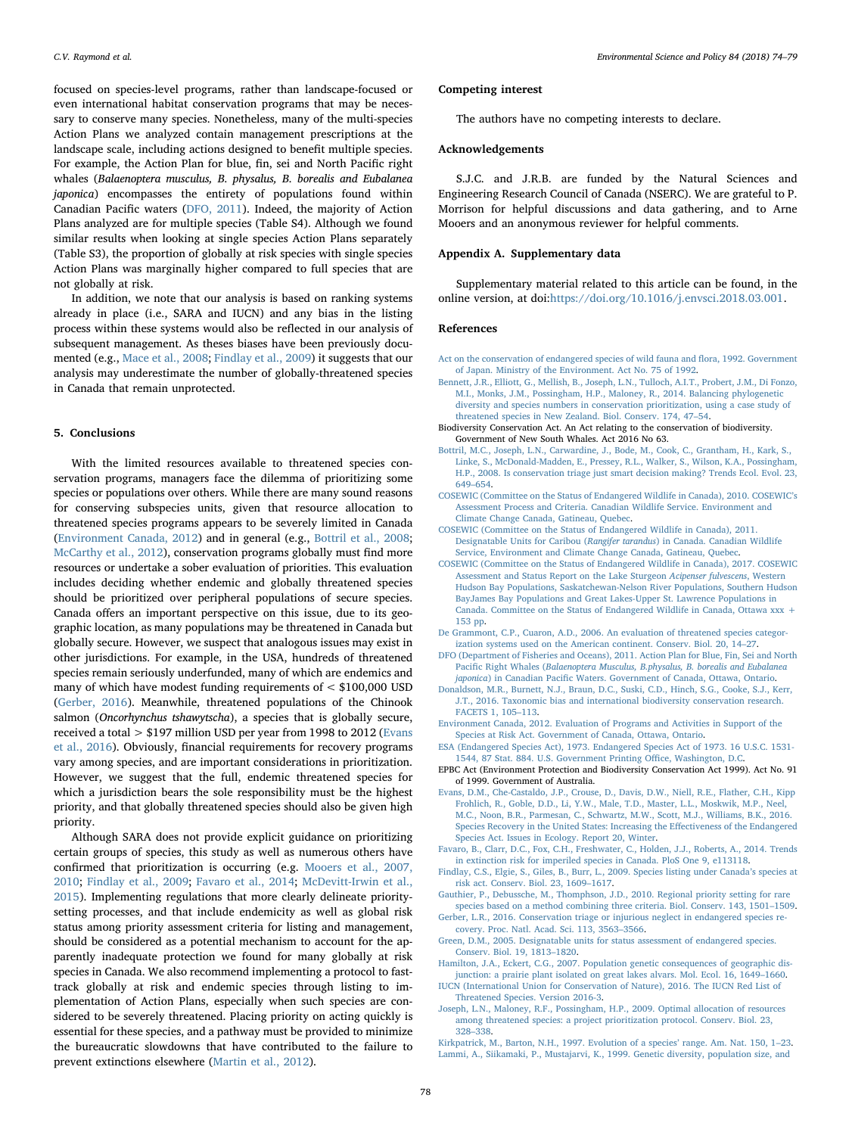focused on species-level programs, rather than landscape-focused or even international habitat conservation programs that may be necessary to conserve many species. Nonetheless, many of the multi-species Action Plans we analyzed contain management prescriptions at the landscape scale, including actions designed to benefit multiple species. For example, the Action Plan for blue, fin, sei and North Pacific right whales (Balaenoptera musculus, B. physalus, B. borealis and Eubalanea japonica) encompasses the entirety of populations found within Canadian Pacific waters [\(DFO, 2011\)](#page-4-20). Indeed, the majority of Action Plans analyzed are for multiple species (Table S4). Although we found similar results when looking at single species Action Plans separately (Table S3), the proportion of globally at risk species with single species Action Plans was marginally higher compared to full species that are not globally at risk.

In addition, we note that our analysis is based on ranking systems already in place (i.e., SARA and IUCN) and any bias in the listing process within these systems would also be reflected in our analysis of subsequent management. As theses biases have been previously documented (e.g., [Mace et al., 2008;](#page-5-22) [Findlay et al., 2009\)](#page-4-10) it suggests that our analysis may underestimate the number of globally-threatened species in Canada that remain unprotected.

#### 5. Conclusions

With the limited resources available to threatened species conservation programs, managers face the dilemma of prioritizing some species or populations over others. While there are many sound reasons for conserving subspecies units, given that resource allocation to threatened species programs appears to be severely limited in Canada ([Environment Canada, 2012](#page-4-21)) and in general (e.g., [Bottril et al., 2008](#page-4-22); [McCarthy et al., 2012](#page-5-23)), conservation programs globally must find more resources or undertake a sober evaluation of priorities. This evaluation includes deciding whether endemic and globally threatened species should be prioritized over peripheral populations of secure species. Canada offers an important perspective on this issue, due to its geographic location, as many populations may be threatened in Canada but globally secure. However, we suspect that analogous issues may exist in other jurisdictions. For example, in the USA, hundreds of threatened species remain seriously underfunded, many of which are endemics and many of which have modest funding requirements of < \$100,000 USD ([Gerber, 2016](#page-4-23)). Meanwhile, threatened populations of the Chinook salmon (Oncorhynchus tshawytscha), a species that is globally secure, received a total > \$197 million USD per year from 1998 to 2012 [\(Evans](#page-4-11) [et al., 2016](#page-4-11)). Obviously, financial requirements for recovery programs vary among species, and are important considerations in prioritization. However, we suggest that the full, endemic threatened species for which a jurisdiction bears the sole responsibility must be the highest priority, and that globally threatened species should also be given high priority.

Although SARA does not provide explicit guidance on prioritizing certain groups of species, this study as well as numerous others have confirmed that prioritization is occurring (e.g. [Mooers et al., 2007,](#page-5-19) [2010;](#page-5-19) [Findlay et al., 2009;](#page-4-10) [Favaro et al., 2014](#page-4-19); [McDevitt-Irwin et al.,](#page-5-21) [2015\)](#page-5-21). Implementing regulations that more clearly delineate prioritysetting processes, and that include endemicity as well as global risk status among priority assessment criteria for listing and management, should be considered as a potential mechanism to account for the apparently inadequate protection we found for many globally at risk species in Canada. We also recommend implementing a protocol to fasttrack globally at risk and endemic species through listing to implementation of Action Plans, especially when such species are considered to be severely threatened. Placing priority on acting quickly is essential for these species, and a pathway must be provided to minimize the bureaucratic slowdowns that have contributed to the failure to prevent extinctions elsewhere ([Martin et al., 2012](#page-5-24)).

#### Competing interest

The authors have no competing interests to declare.

#### Acknowledgements

S.J.C. and J.R.B. are funded by the Natural Sciences and Engineering Research Council of Canada (NSERC). We are grateful to P. Morrison for helpful discussions and data gathering, and to Arne Mooers and an anonymous reviewer for helpful comments.

#### Appendix A. Supplementary data

Supplementary material related to this article can be found, in the online version, at doi:<https://doi.org/10.1016/j.envsci.2018.03.001>.

#### References

- <span id="page-4-2"></span>[Act on the conservation of endangered species of wild fauna and](http://refhub.elsevier.com/S1462-9011(17)30897-3/sbref0005) flora, 1992. Government [of Japan. Ministry of the Environment. Act No. 75 of 1992.](http://refhub.elsevier.com/S1462-9011(17)30897-3/sbref0005)
- <span id="page-4-12"></span>[Bennett, J.R., Elliott, G., Mellish, B., Joseph, L.N., Tulloch, A.I.T., Probert, J.M., Di Fonzo,](http://refhub.elsevier.com/S1462-9011(17)30897-3/sbref0010) [M.I., Monks, J.M., Possingham, H.P., Maloney, R., 2014. Balancing phylogenetic](http://refhub.elsevier.com/S1462-9011(17)30897-3/sbref0010) [diversity and species numbers in conservation prioritization, using a case study of](http://refhub.elsevier.com/S1462-9011(17)30897-3/sbref0010) [threatened species in New Zealand. Biol. Conserv. 174, 47](http://refhub.elsevier.com/S1462-9011(17)30897-3/sbref0010)–54.
- <span id="page-4-9"></span>Biodiversity Conservation Act. An Act relating to the conservation of biodiversity. Government of New South Whales. Act 2016 No 63.
- <span id="page-4-22"></span>[Bottril, M.C., Joseph, L.N., Carwardine, J., Bode, M., Cook, C., Grantham, H., Kark, S.,](http://refhub.elsevier.com/S1462-9011(17)30897-3/sbref0020) [Linke, S., McDonald-Madden, E., Pressey, R.L., Walker, S., Wilson, K.A., Possingham,](http://refhub.elsevier.com/S1462-9011(17)30897-3/sbref0020) [H.P., 2008. Is conservation triage just smart decision making? Trends Ecol. Evol. 23,](http://refhub.elsevier.com/S1462-9011(17)30897-3/sbref0020) 649–[654](http://refhub.elsevier.com/S1462-9011(17)30897-3/sbref0020).
- <span id="page-4-14"></span>[COSEWIC \(Committee on the Status of Endangered Wildlife in Canada\), 2010. COSEWIC](http://refhub.elsevier.com/S1462-9011(17)30897-3/sbref0025)'s [Assessment Process and Criteria. Canadian Wildlife Service. Environment and](http://refhub.elsevier.com/S1462-9011(17)30897-3/sbref0025) [Climate Change Canada, Gatineau, Quebec.](http://refhub.elsevier.com/S1462-9011(17)30897-3/sbref0025)
- <span id="page-4-16"></span>[COSEWIC \(Committee on the Status of Endangered Wildlife in Canada\), 2011.](http://refhub.elsevier.com/S1462-9011(17)30897-3/sbref0030) [Designatable Units for Caribou \(](http://refhub.elsevier.com/S1462-9011(17)30897-3/sbref0030)Rangifer tarandus) in Canada. Canadian Wildlife [Service, Environment and Climate Change Canada, Gatineau, Quebec](http://refhub.elsevier.com/S1462-9011(17)30897-3/sbref0030).
- <span id="page-4-4"></span>[COSEWIC \(Committee on the Status of Endangered Wildlife in Canada\), 2017. COSEWIC](http://refhub.elsevier.com/S1462-9011(17)30897-3/sbref0035) [Assessment and Status Report on the Lake Sturgeon](http://refhub.elsevier.com/S1462-9011(17)30897-3/sbref0035) Acipenser fulvescens, Western [Hudson Bay Populations, Saskatchewan-Nelson River Populations, Southern Hudson](http://refhub.elsevier.com/S1462-9011(17)30897-3/sbref0035) [BayJames Bay Populations and Great Lakes-Upper St. Lawrence Populations in](http://refhub.elsevier.com/S1462-9011(17)30897-3/sbref0035) [Canada. Committee on the Status of Endangered Wildlife in Canada, Ottawa xxx +](http://refhub.elsevier.com/S1462-9011(17)30897-3/sbref0035) [153 pp.](http://refhub.elsevier.com/S1462-9011(17)30897-3/sbref0035)
- <span id="page-4-0"></span>[De Grammont, C.P., Cuaron, A.D., 2006. An evaluation of threatened species categor](http://refhub.elsevier.com/S1462-9011(17)30897-3/sbref0040)[ization systems used on the American continent. Conserv. Biol. 20, 14](http://refhub.elsevier.com/S1462-9011(17)30897-3/sbref0040)–27.
- <span id="page-4-20"></span>[DFO \(Department of Fisheries and Oceans\), 2011. Action Plan for Blue, Fin, Sei and North](http://refhub.elsevier.com/S1462-9011(17)30897-3/sbref0045) Pacific Right Whales ([Balaenoptera Musculus, B.physalus, B. borealis and Eubalanea](http://refhub.elsevier.com/S1462-9011(17)30897-3/sbref0045) japonica) in Canadian Pacifi[c Waters. Government of Canada, Ottawa, Ontario.](http://refhub.elsevier.com/S1462-9011(17)30897-3/sbref0045)
- <span id="page-4-18"></span>[Donaldson, M.R., Burnett, N.J., Braun, D.C., Suski, C.D., Hinch, S.G., Cooke, S.J., Kerr,](http://refhub.elsevier.com/S1462-9011(17)30897-3/sbref0050) [J.T., 2016. Taxonomic bias and international biodiversity conservation research.](http://refhub.elsevier.com/S1462-9011(17)30897-3/sbref0050) [FACETS 1, 105](http://refhub.elsevier.com/S1462-9011(17)30897-3/sbref0050)–113.
- <span id="page-4-21"></span>[Environment Canada, 2012. Evaluation of Programs and Activities in Support of the](http://refhub.elsevier.com/S1462-9011(17)30897-3/sbref0055) [Species at Risk Act. Government of Canada, Ottawa, Ontario.](http://refhub.elsevier.com/S1462-9011(17)30897-3/sbref0055)
- <span id="page-4-1"></span>[ESA \(Endangered Species Act\), 1973. Endangered Species Act of 1973. 16 U.S.C. 1531-](http://refhub.elsevier.com/S1462-9011(17)30897-3/sbref0060) [1544, 87 Stat. 884. U.S. Government Printing O](http://refhub.elsevier.com/S1462-9011(17)30897-3/sbref0060)ffice, Washington, D.C.
- <span id="page-4-3"></span>EPBC Act (Environment Protection and Biodiversity Conservation Act 1999). Act No. 91 of 1999. Government of Australia.
- <span id="page-4-11"></span>[Evans, D.M., Che-Castaldo, J.P., Crouse, D., Davis, D.W., Niell, R.E., Flather, C.H., Kipp](http://refhub.elsevier.com/S1462-9011(17)30897-3/sbref0070) [Frohlich, R., Goble, D.D., Li, Y.W., Male, T.D., Master, L.L., Moskwik, M.P., Neel,](http://refhub.elsevier.com/S1462-9011(17)30897-3/sbref0070) [M.C., Noon, B.R., Parmesan, C., Schwartz, M.W., Scott, M.J., Williams, B.K., 2016.](http://refhub.elsevier.com/S1462-9011(17)30897-3/sbref0070) [Species Recovery in the United States: Increasing the E](http://refhub.elsevier.com/S1462-9011(17)30897-3/sbref0070)ffectiveness of the Endangered [Species Act. Issues in Ecology. Report 20, Winter](http://refhub.elsevier.com/S1462-9011(17)30897-3/sbref0070).
- <span id="page-4-19"></span>[Favaro, B., Clarr, D.C., Fox, C.H., Freshwater, C., Holden, J.J., Roberts, A., 2014. Trends](http://refhub.elsevier.com/S1462-9011(17)30897-3/sbref0075) [in extinction risk for imperiled species in Canada. PloS One 9, e113118](http://refhub.elsevier.com/S1462-9011(17)30897-3/sbref0075).
- <span id="page-4-10"></span>[Findlay, C.S., Elgie, S., Giles, B., Burr, L., 2009. Species listing under Canada](http://refhub.elsevier.com/S1462-9011(17)30897-3/sbref0080)'s species at [risk act. Conserv. Biol. 23, 1609](http://refhub.elsevier.com/S1462-9011(17)30897-3/sbref0080)–1617.
- <span id="page-4-13"></span>[Gauthier, P., Debussche, M., Thomphson, J.D., 2010. Regional priority setting for rare](http://refhub.elsevier.com/S1462-9011(17)30897-3/sbref0085) [species based on a method combining three criteria. Biol. Conserv. 143, 1501](http://refhub.elsevier.com/S1462-9011(17)30897-3/sbref0085)–1509.
- <span id="page-4-23"></span>[Gerber, L.R., 2016. Conservation triage or injurious neglect in endangered species re](http://refhub.elsevier.com/S1462-9011(17)30897-3/sbref0090)[covery. Proc. Natl. Acad. Sci. 113, 3563](http://refhub.elsevier.com/S1462-9011(17)30897-3/sbref0090)–3566.
- <span id="page-4-17"></span>[Green, D.M., 2005. Designatable units for status assessment of endangered species.](http://refhub.elsevier.com/S1462-9011(17)30897-3/sbref0095) [Conserv. Biol. 19, 1813](http://refhub.elsevier.com/S1462-9011(17)30897-3/sbref0095)–1820.
- <span id="page-4-7"></span>Hamilton, [J.A., Eckert, C.G., 2007. Population genetic consequences of geographic dis](http://refhub.elsevier.com/S1462-9011(17)30897-3/sbref0100)[junction: a prairie plant isolated on great lakes alvars. Mol. Ecol. 16, 1649](http://refhub.elsevier.com/S1462-9011(17)30897-3/sbref0100)–1660.
- <span id="page-4-15"></span>[IUCN \(International Union for Conservation of Nature\), 2016. The IUCN Red List of](http://refhub.elsevier.com/S1462-9011(17)30897-3/sbref0105) [Threatened Species. Version 2016-3.](http://refhub.elsevier.com/S1462-9011(17)30897-3/sbref0105)
- <span id="page-4-8"></span>[Joseph, L.N., Maloney, R.F., Possingham, H.P., 2009. Optimal allocation of resources](http://refhub.elsevier.com/S1462-9011(17)30897-3/sbref0110) [among threatened species: a project prioritization protocol. Conserv. Biol. 23,](http://refhub.elsevier.com/S1462-9011(17)30897-3/sbref0110) 328–[338](http://refhub.elsevier.com/S1462-9011(17)30897-3/sbref0110).

<span id="page-4-6"></span><span id="page-4-5"></span>[Kirkpatrick, M., Barton, N.H., 1997. Evolution of a species](http://refhub.elsevier.com/S1462-9011(17)30897-3/sbref0115)' range. Am. Nat. 150, 1–23. [Lammi, A., Siikamaki, P., Mustajarvi, K., 1999. Genetic diversity, population size, and](http://refhub.elsevier.com/S1462-9011(17)30897-3/sbref0120)